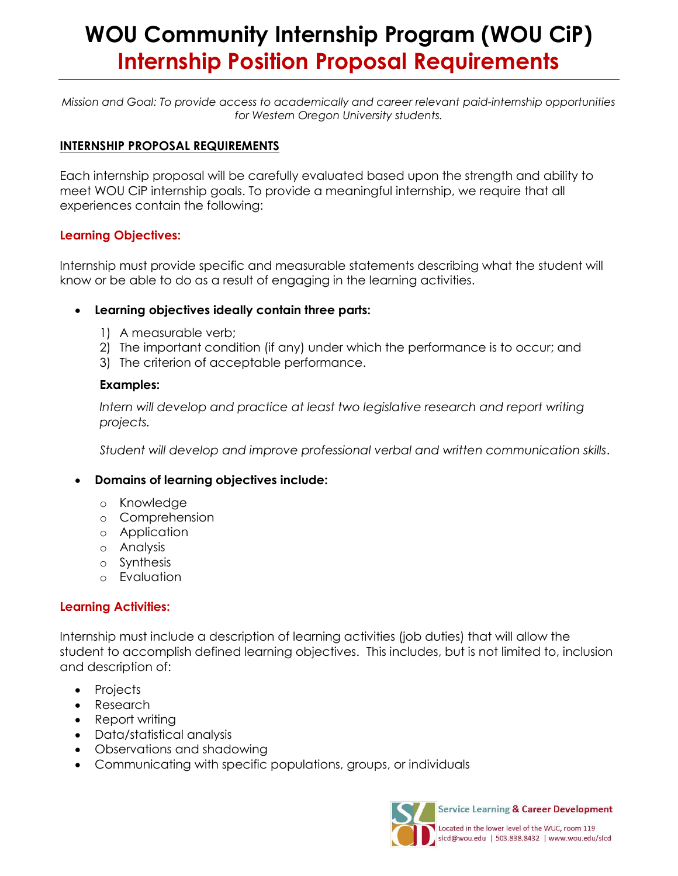# **WOU Community Internship Program (WOU CiP) Internship Position Proposal Requirements**

*Mission and Goal: To provide access to academically and career relevant paid-internship opportunities for Western Oregon University students.*

### **INTERNSHIP PROPOSAL REQUIREMENTS**

Each internship proposal will be carefully evaluated based upon the strength and ability to meet WOU CiP internship goals. To provide a meaningful internship, we require that all experiences contain the following:

### **Learning Objectives:**

Internship must provide specific and measurable statements describing what the student will know or be able to do as a result of engaging in the learning activities.

### **Learning objectives ideally contain three parts:**

- 1) A measurable verb;
- 2) The important condition (if any) under which the performance is to occur; and
- 3) The criterion of acceptable performance.

### **Examples:**

*Intern will develop and practice at least two legislative research and report writing projects.*

*Student will develop and improve professional verbal and written communication skills*.

### **Domains of learning objectives include:**

- o Knowledge
- o Comprehension
- o Application
- o Analysis
- o Synthesis
- o Evaluation

#### **Learning Activities:**

Internship must include a description of learning activities (job duties) that will allow the student to accomplish defined learning objectives. This includes, but is not limited to, inclusion and description of:

- Projects
- Research
- Report writing
- Data/statistical analysis
- Observations and shadowing
- Communicating with specific populations, groups, or individuals



Service Learning & Career Development

Located in the lower level of the WUC, room 119 slcd@wou.edu | 503.838.8432 | www.wou.edu/slcd